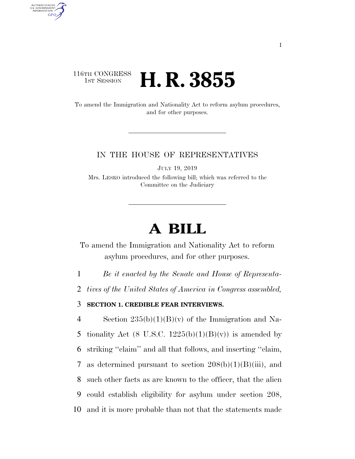### 116TH CONGRESS **1st Session H. R. 3855**

AUTHENTICATED<br>U.S. GOVERNMENT<br>INFORMATION GPO

> To amend the Immigration and Nationality Act to reform asylum procedures, and for other purposes.

#### IN THE HOUSE OF REPRESENTATIVES

JULY 19, 2019

Mrs. LESKO introduced the following bill; which was referred to the Committee on the Judiciary

# **A BILL**

To amend the Immigration and Nationality Act to reform asylum procedures, and for other purposes.

1 *Be it enacted by the Senate and House of Representa-*

2 *tives of the United States of America in Congress assembled,* 

3 **SECTION 1. CREDIBLE FEAR INTERVIEWS.** 

4 Section  $235(b)(1)(B)(v)$  of the Immigration and Na-5 tionality Act (8 U.S.C.  $1225(b)(1)(B)(v)$ ) is amended by 6 striking ''claim'' and all that follows, and inserting ''claim, 7 as determined pursuant to section  $208(b)(1)(B)(iii)$ , and 8 such other facts as are known to the officer, that the alien 9 could establish eligibility for asylum under section 208, 10 and it is more probable than not that the statements made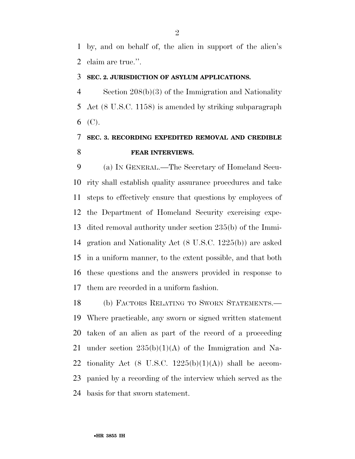by, and on behalf of, the alien in support of the alien's claim are true.''.

### **SEC. 2. JURISDICTION OF ASYLUM APPLICATIONS.**

 Section 208(b)(3) of the Immigration and Nationality Act (8 U.S.C. 1158) is amended by striking subparagraph (C).

## **SEC. 3. RECORDING EXPEDITED REMOVAL AND CREDIBLE FEAR INTERVIEWS.**

 (a) IN GENERAL.—The Secretary of Homeland Secu- rity shall establish quality assurance procedures and take steps to effectively ensure that questions by employees of the Department of Homeland Security exercising expe- dited removal authority under section 235(b) of the Immi- gration and Nationality Act (8 U.S.C. 1225(b)) are asked in a uniform manner, to the extent possible, and that both these questions and the answers provided in response to them are recorded in a uniform fashion.

 (b) FACTORS RELATING TO SWORN STATEMENTS.— Where practicable, any sworn or signed written statement taken of an alien as part of the record of a proceeding 21 under section  $235(b)(1)(A)$  of the Immigration and Na-22 tionality Act (8 U.S.C.  $1225(b)(1)(A)$ ) shall be accom- panied by a recording of the interview which served as the basis for that sworn statement.